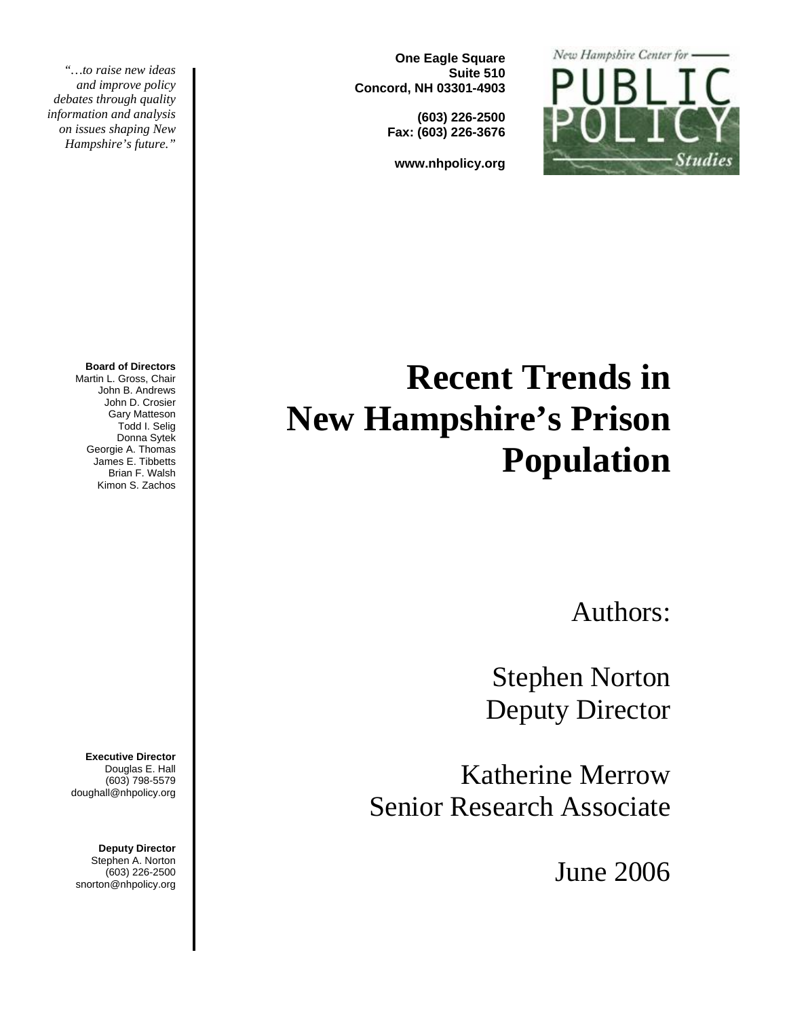

**One Eagle Square Suite 510 Concord, NH 03301-4903** 

> **(603) 226-2500 Fax: (603) 226-3676**

**www.nhpolicy.org** 

*"…to raise new ideas and improve policy debates through quality information and analysis on issues shaping New Hampshire's future."* 

#### **Board of Directors**

Martin L. Gross, Chair John B. Andrews John D. Crosier Gary Matteson Todd I. Selig Donna Sytek Georgie A. Thomas James E. Tibbetts Brian F. Walsh Kimon S. Zachos

**Executive Director** Douglas E. Hall (603) 798-5579 doughall@nhpolicy.org

**Deputy Director**  Stephen A. Norton (603) 226-2500 snorton@nhpolicy.org

# **Recent Trends in New Hampshire's Prison Population**

Authors:

Stephen Norton Deputy Director

Katherine Merrow Senior Research Associate

June 2006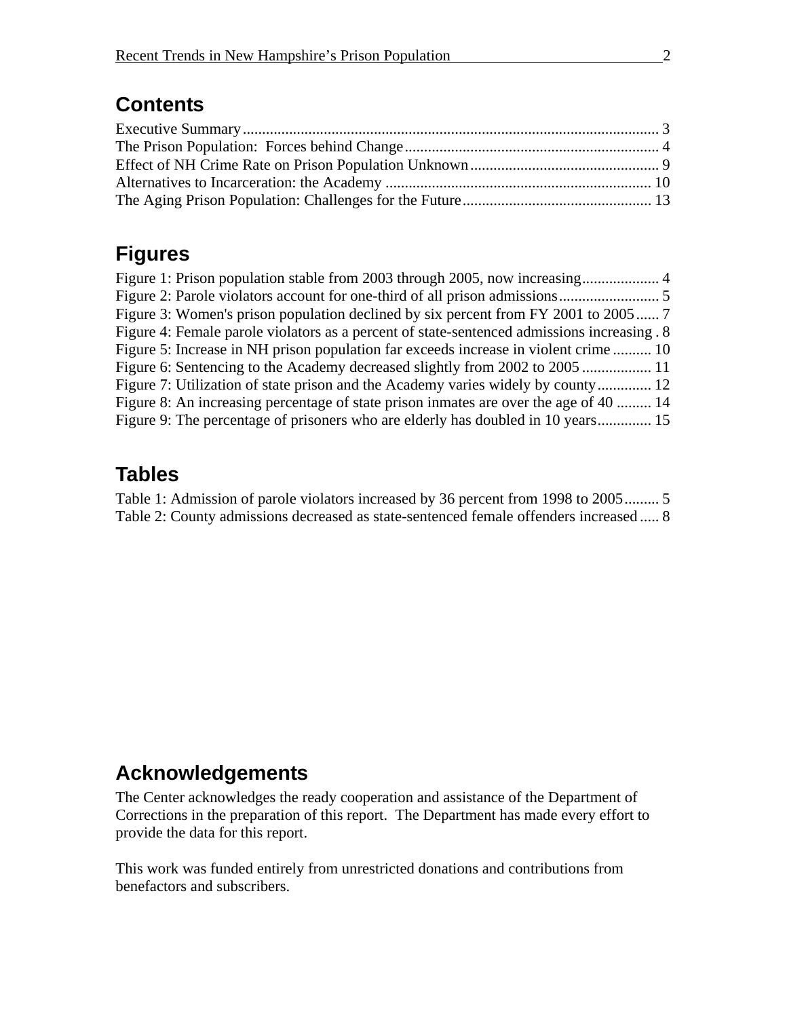#### **Contents**

## **Figures**

| Figure 3: Women's prison population declined by six percent from FY 2001 to 2005 7          |  |
|---------------------------------------------------------------------------------------------|--|
| Figure 4: Female parole violators as a percent of state-sentenced admissions increasing . 8 |  |
| Figure 5: Increase in NH prison population far exceeds increase in violent crime  10        |  |
| Figure 6: Sentencing to the Academy decreased slightly from 2002 to 2005                    |  |
| Figure 7: Utilization of state prison and the Academy varies widely by county 12            |  |
| Figure 8: An increasing percentage of state prison inmates are over the age of 40  14       |  |
| Figure 9: The percentage of prisoners who are elderly has doubled in 10 years 15            |  |

#### **Tables**

Table 1: Admission of parole violators increased by 36 percent from 1998 to 2005......... 5 Table 2: County admissions decreased as state-sentenced female offenders increased ..... 8

## **Acknowledgements**

The Center acknowledges the ready cooperation and assistance of the Department of Corrections in the preparation of this report. The Department has made every effort to provide the data for this report.

This work was funded entirely from unrestricted donations and contributions from benefactors and subscribers.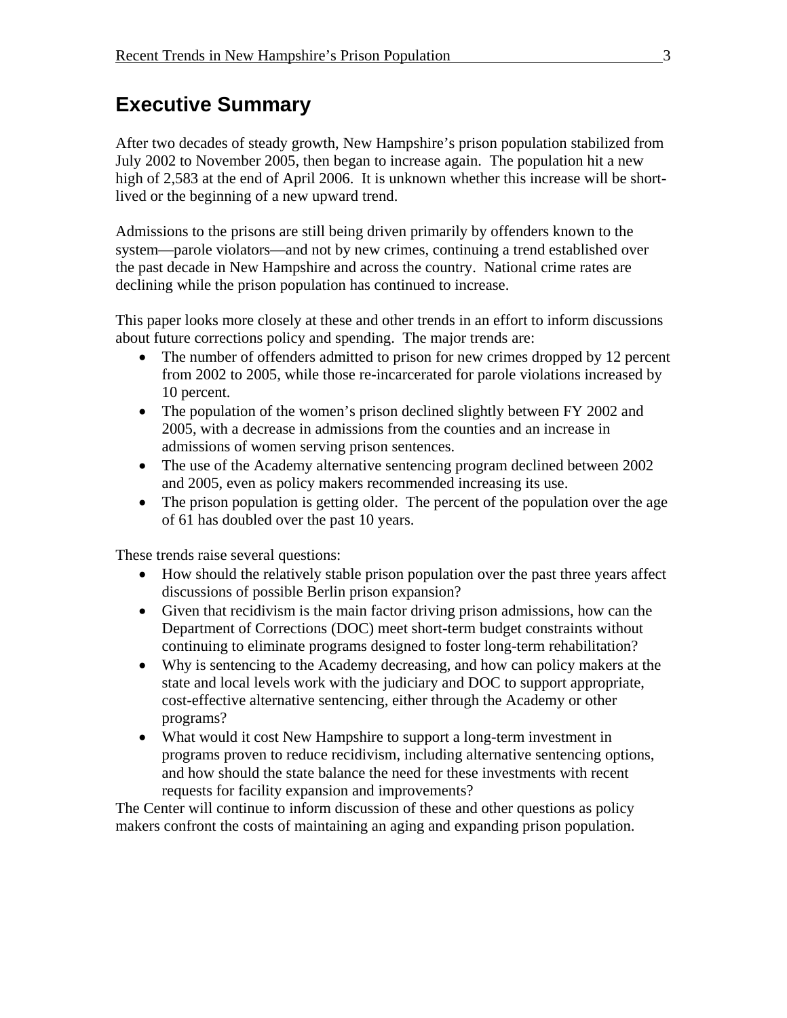## **Executive Summary**

After two decades of steady growth, New Hampshire's prison population stabilized from July 2002 to November 2005, then began to increase again. The population hit a new high of 2,583 at the end of April 2006. It is unknown whether this increase will be shortlived or the beginning of a new upward trend.

Admissions to the prisons are still being driven primarily by offenders known to the system—parole violators—and not by new crimes, continuing a trend established over the past decade in New Hampshire and across the country. National crime rates are declining while the prison population has continued to increase.

This paper looks more closely at these and other trends in an effort to inform discussions about future corrections policy and spending. The major trends are:

- The number of offenders admitted to prison for new crimes dropped by 12 percent from 2002 to 2005, while those re-incarcerated for parole violations increased by 10 percent.
- The population of the women's prison declined slightly between FY 2002 and 2005, with a decrease in admissions from the counties and an increase in admissions of women serving prison sentences.
- The use of the Academy alternative sentencing program declined between 2002 and 2005, even as policy makers recommended increasing its use.
- The prison population is getting older. The percent of the population over the age of 61 has doubled over the past 10 years.

These trends raise several questions:

- How should the relatively stable prison population over the past three years affect discussions of possible Berlin prison expansion?
- Given that recidivism is the main factor driving prison admissions, how can the Department of Corrections (DOC) meet short-term budget constraints without continuing to eliminate programs designed to foster long-term rehabilitation?
- Why is sentencing to the Academy decreasing, and how can policy makers at the state and local levels work with the judiciary and DOC to support appropriate, cost-effective alternative sentencing, either through the Academy or other programs?
- What would it cost New Hampshire to support a long-term investment in programs proven to reduce recidivism, including alternative sentencing options, and how should the state balance the need for these investments with recent requests for facility expansion and improvements?

The Center will continue to inform discussion of these and other questions as policy makers confront the costs of maintaining an aging and expanding prison population.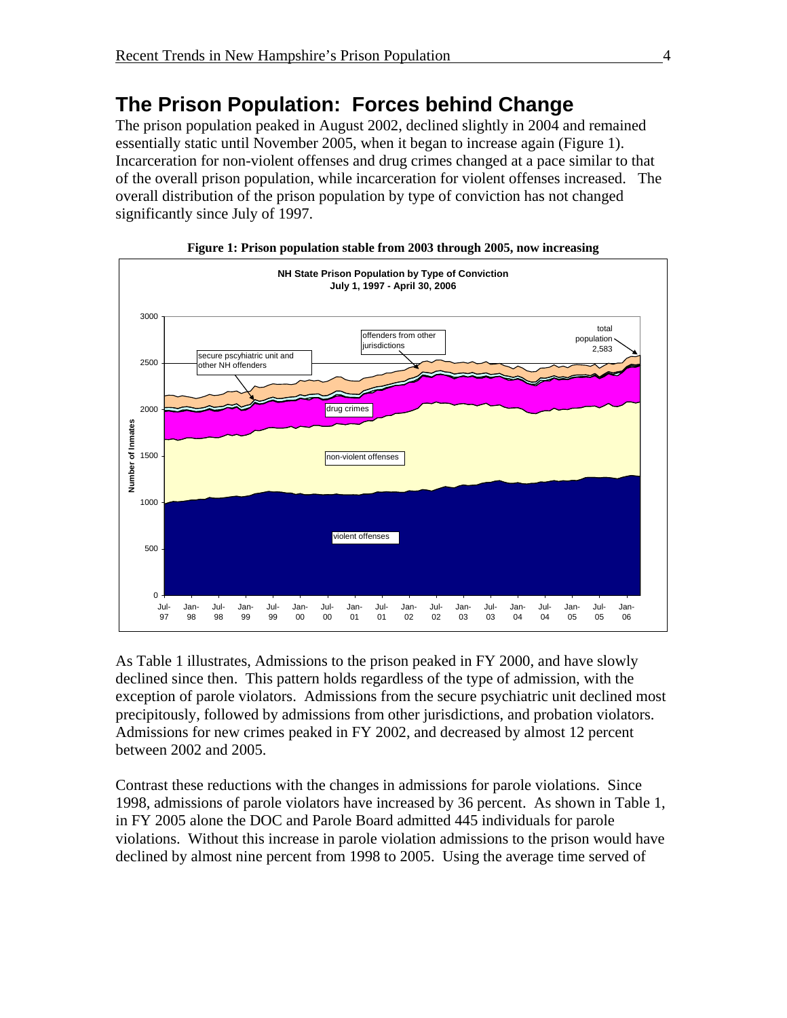# **The Prison Population: Forces behind Change**

The prison population peaked in August 2002, declined slightly in 2004 and remained essentially static until November 2005, when it began to increase again (Figure 1). Incarceration for non-violent offenses and drug crimes changed at a pace similar to that of the overall prison population, while incarceration for violent offenses increased. The overall distribution of the prison population by type of conviction has not changed significantly since July of 1997.



**Figure 1: Prison population stable from 2003 through 2005, now increasing** 

As Table 1 illustrates, Admissions to the prison peaked in FY 2000, and have slowly declined since then. This pattern holds regardless of the type of admission, with the exception of parole violators. Admissions from the secure psychiatric unit declined most precipitously, followed by admissions from other jurisdictions, and probation violators. Admissions for new crimes peaked in FY 2002, and decreased by almost 12 percent between 2002 and 2005.

Contrast these reductions with the changes in admissions for parole violations. Since 1998, admissions of parole violators have increased by 36 percent. As shown in Table 1, in FY 2005 alone the DOC and Parole Board admitted 445 individuals for parole violations. Without this increase in parole violation admissions to the prison would have declined by almost nine percent from 1998 to 2005. Using the average time served of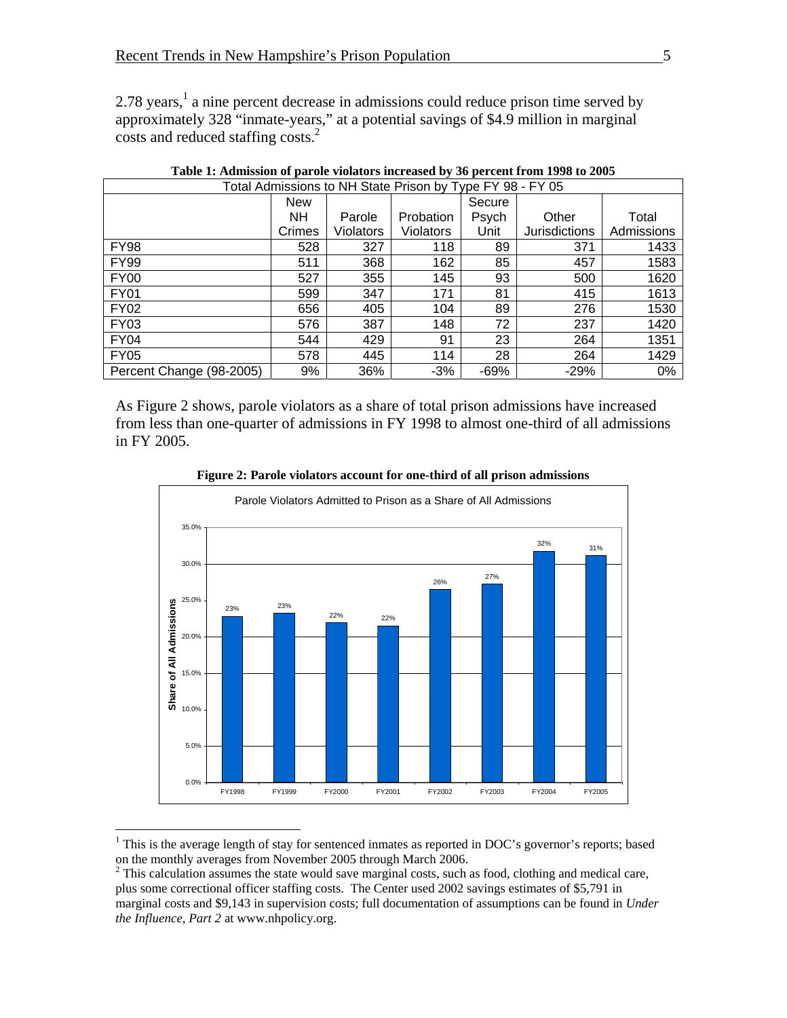2.78 years,<sup>1</sup> a nine percent decrease in admissions could reduce prison time served by approximately 328 "inmate-years," at a potential savings of \$4.9 million in marginal costs and reduced staffing costs.<sup>2</sup>

| Total Admissions to NH State Prison by Type FY 98 - FY 05 |            |           |                  |        |                      |            |  |  |  |  |
|-----------------------------------------------------------|------------|-----------|------------------|--------|----------------------|------------|--|--|--|--|
|                                                           | <b>New</b> |           |                  | Secure |                      |            |  |  |  |  |
|                                                           | <b>NH</b>  | Parole    | <b>Probation</b> | Psych  | Other                | Total      |  |  |  |  |
|                                                           | Crimes     | Violators | <b>Violators</b> | Unit   | <b>Jurisdictions</b> | Admissions |  |  |  |  |
| <b>FY98</b>                                               | 528        | 327       | 118              | 89     | 371                  | 1433       |  |  |  |  |
| <b>FY99</b>                                               | 511        | 368       | 162              | 85     | 457                  | 1583       |  |  |  |  |
| <b>FY00</b>                                               | 527        | 355       | 145              | 93     | 500                  | 1620       |  |  |  |  |
| <b>FY01</b>                                               | 599        | 347       | 171              | 81     | 415                  | 1613       |  |  |  |  |
| <b>FY02</b>                                               | 656        | 405       | 104              | 89     | 276                  | 1530       |  |  |  |  |
| FY03                                                      | 576        | 387       | 148              | 72     | 237                  | 1420       |  |  |  |  |
| <b>FY04</b>                                               | 544        | 429       | 91               | 23     | 264                  | 1351       |  |  |  |  |
| <b>FY05</b>                                               | 578        | 445       | 114              | 28     | 264                  | 1429       |  |  |  |  |
| Percent Change (98-2005)                                  | 9%         | 36%       | $-3%$            | $-69%$ | -29%                 | 0%         |  |  |  |  |

**Table 1: Admission of parole violators increased by 36 percent from 1998 to 2005** 

As Figure 2 shows, parole violators as a share of total prison admissions have increased from less than one-quarter of admissions in FY 1998 to almost one-third of all admissions in FY 2005.



**Figure 2: Parole violators account for one-third of all prison admissions** 

 $1$  This is the average length of stay for sentenced inmates as reported in DOC's governor's reports; based on the monthly averages from November 2005 through March 2006.

 $2^2$  This calculation assumes the state would save marginal costs, such as food, clothing and medical care, plus some correctional officer staffing costs. The Center used 2002 savings estimates of \$5,791 in marginal costs and \$9,143 in supervision costs; full documentation of assumptions can be found in *Under the Influence, Part 2* at www.nhpolicy.org.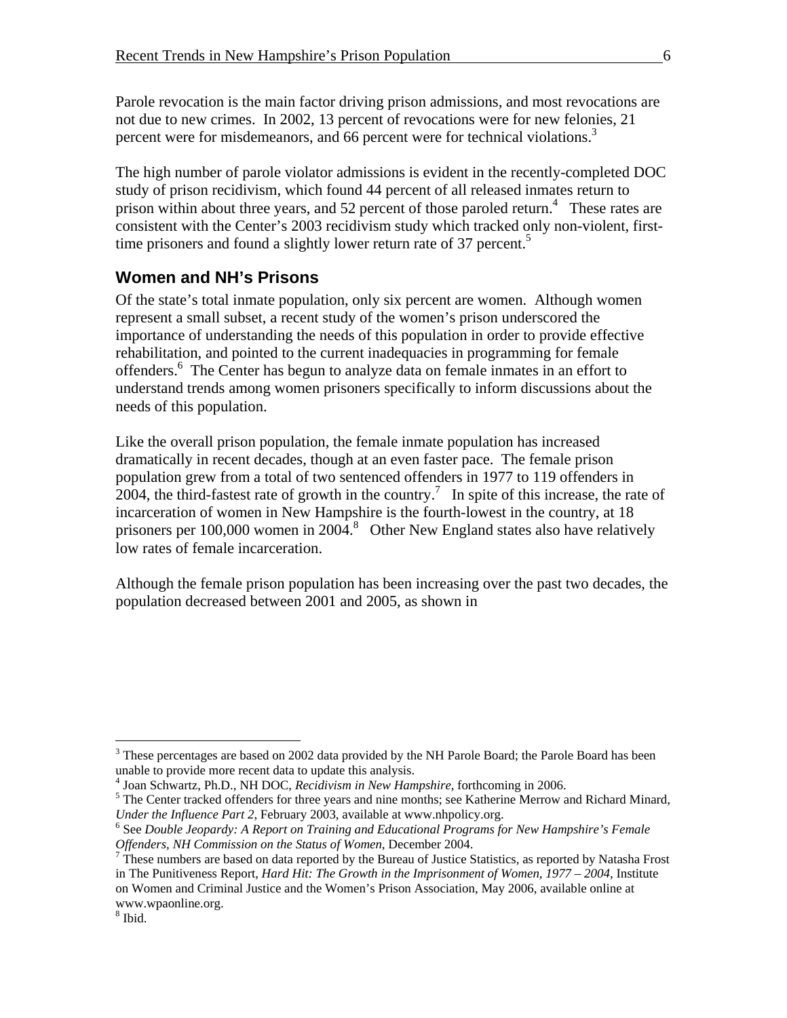Parole revocation is the main factor driving prison admissions, and most revocations are not due to new crimes. In 2002, 13 percent of revocations were for new felonies, 21 percent were for misdemeanors, and 66 percent were for technical violations.<sup>3</sup>

The high number of parole violator admissions is evident in the recently-completed DOC study of prison recidivism, which found 44 percent of all released inmates return to prison within about three years, and 52 percent of those paroled return.<sup>4</sup> These rates are consistent with the Center's 2003 recidivism study which tracked only non-violent, firsttime prisoners and found a slightly lower return rate of 37 percent.<sup>5</sup>

#### **Women and NH's Prisons**

Of the state's total inmate population, only six percent are women. Although women represent a small subset, a recent study of the women's prison underscored the importance of understanding the needs of this population in order to provide effective rehabilitation, and pointed to the current inadequacies in programming for female offenders.6 The Center has begun to analyze data on female inmates in an effort to understand trends among women prisoners specifically to inform discussions about the needs of this population.

Like the overall prison population, the female inmate population has increased dramatically in recent decades, though at an even faster pace. The female prison population grew from a total of two sentenced offenders in 1977 to 119 offenders in 2004, the third-fastest rate of growth in the country.<sup>7</sup> In spite of this increase, the rate of incarceration of women in New Hampshire is the fourth-lowest in the country, at 18 prisoners per 100,000 women in 2004.<sup>8</sup> Other New England states also have relatively low rates of female incarceration.

Although the female prison population has been increasing over the past two decades, the population decreased between 2001 and 2005, as shown in

<sup>&</sup>lt;sup>3</sup> These percentages are based on 2002 data provided by the NH Parole Board; the Parole Board has been unable to provide more recent data to update this analysis.

<sup>&</sup>lt;sup>4</sup> Joan Schwartz, Ph.D., NH DOC, *Recidivism in New Hampshire*, forthcoming in 2006.

<sup>&</sup>lt;sup>5</sup> The Center tracked offenders for three years and nine months; see Katherine Merrow and Richard Minard, *Under the Influence Part 2*, February 2003, available at www.nhpolicy.org.

<sup>&</sup>lt;sup>6</sup> See *Double Jeopardy: A Report on Training and Educational Programs for New Hampshire's Female Offenders, NH Commission on the Status of Women*, December 2004. 7

 $7$  These numbers are based on data reported by the Bureau of Justice Statistics, as reported by Natasha Frost in The Punitiveness Report, *Hard Hit: The Growth in the Imprisonment of Women, 1977 – 2004*, Institute on Women and Criminal Justice and the Women's Prison Association, May 2006, available online at www.wpaonline.org.

<sup>8</sup> Ibid.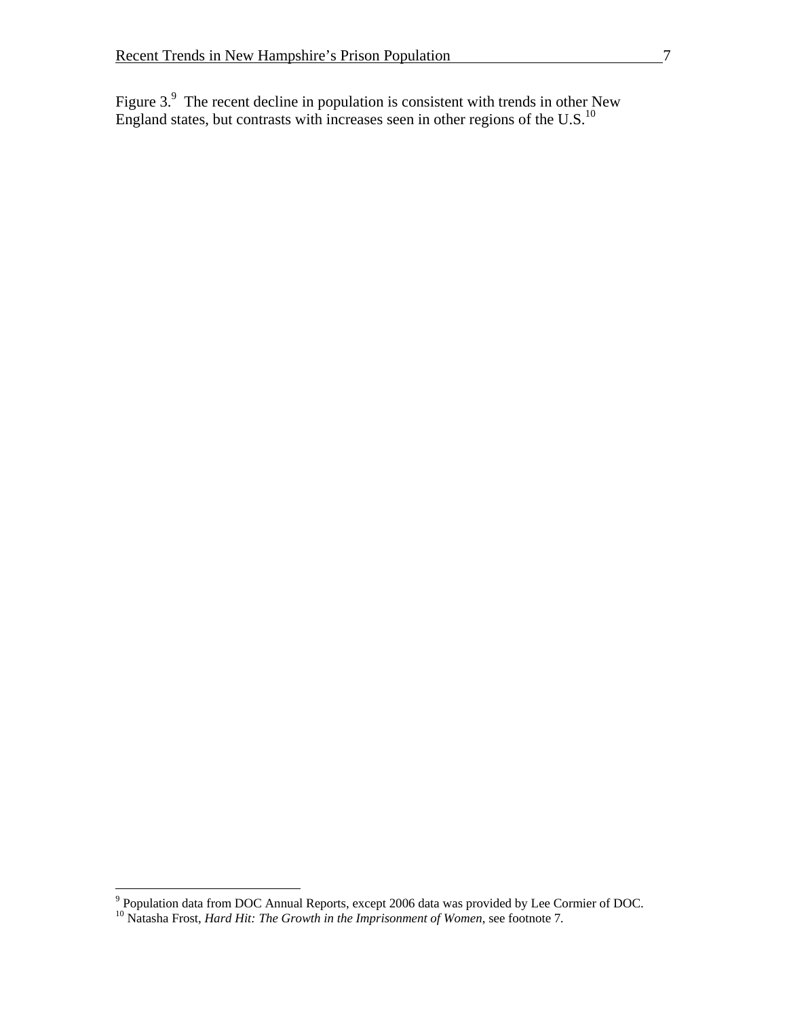Figure  $3.9$  The recent decline in population is consistent with trends in other New England states, but contrasts with increases seen in other regions of the U.S.<sup>10</sup>

<sup>&</sup>lt;sup>9</sup> Population data from DOC Annual Reports, except 2006 data was provided by Lee Cormier of DOC.

<sup>10</sup> Natasha Frost, *Hard Hit: The Growth in the Imprisonment of Women*, see footnote 7*.*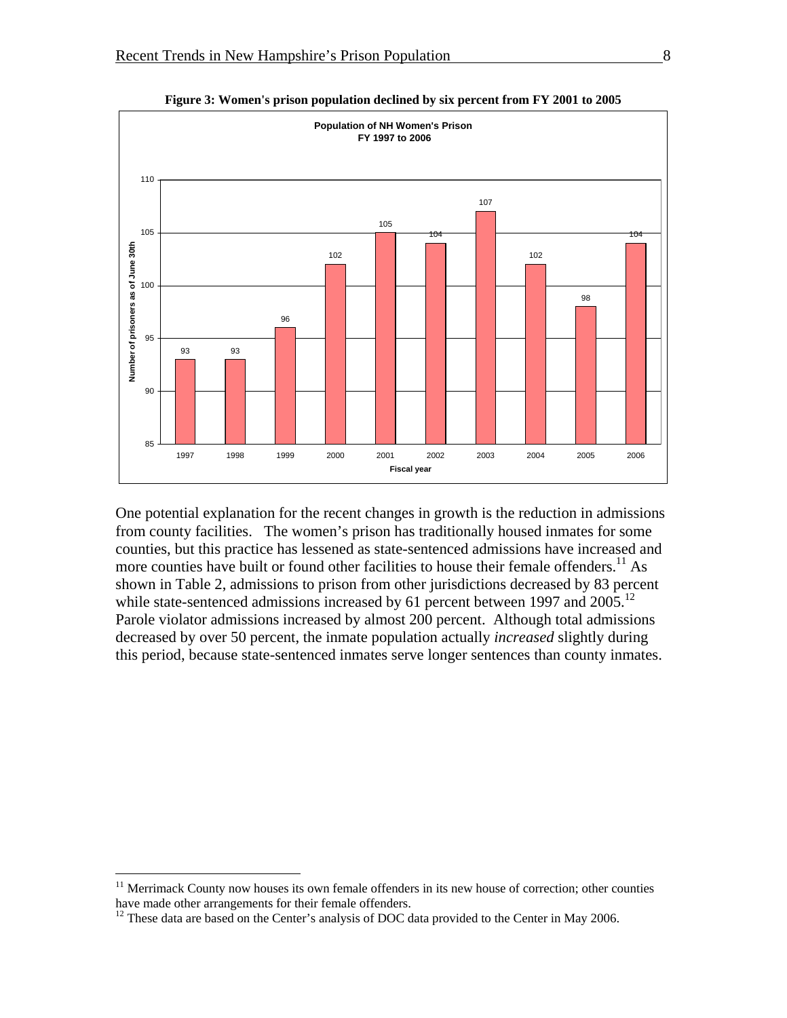

**Figure 3: Women's prison population declined by six percent from FY 2001 to 2005** 

One potential explanation for the recent changes in growth is the reduction in admissions from county facilities. The women's prison has traditionally housed inmates for some counties, but this practice has lessened as state-sentenced admissions have increased and more counties have built or found other facilities to house their female offenders.<sup>11</sup> As shown in Table 2, admissions to prison from other jurisdictions decreased by 83 percent while state-sentenced admissions increased by 61 percent between 1997 and 2005.<sup>12</sup> Parole violator admissions increased by almost 200 percent. Although total admissions decreased by over 50 percent, the inmate population actually *increased* slightly during this period, because state-sentenced inmates serve longer sentences than county inmates.

1

 $11$  Merrimack County now houses its own female offenders in its new house of correction; other counties have made other arrangements for their female offenders.

<sup>&</sup>lt;sup>12</sup> These data are based on the Center's analysis of DOC data provided to the Center in May 2006.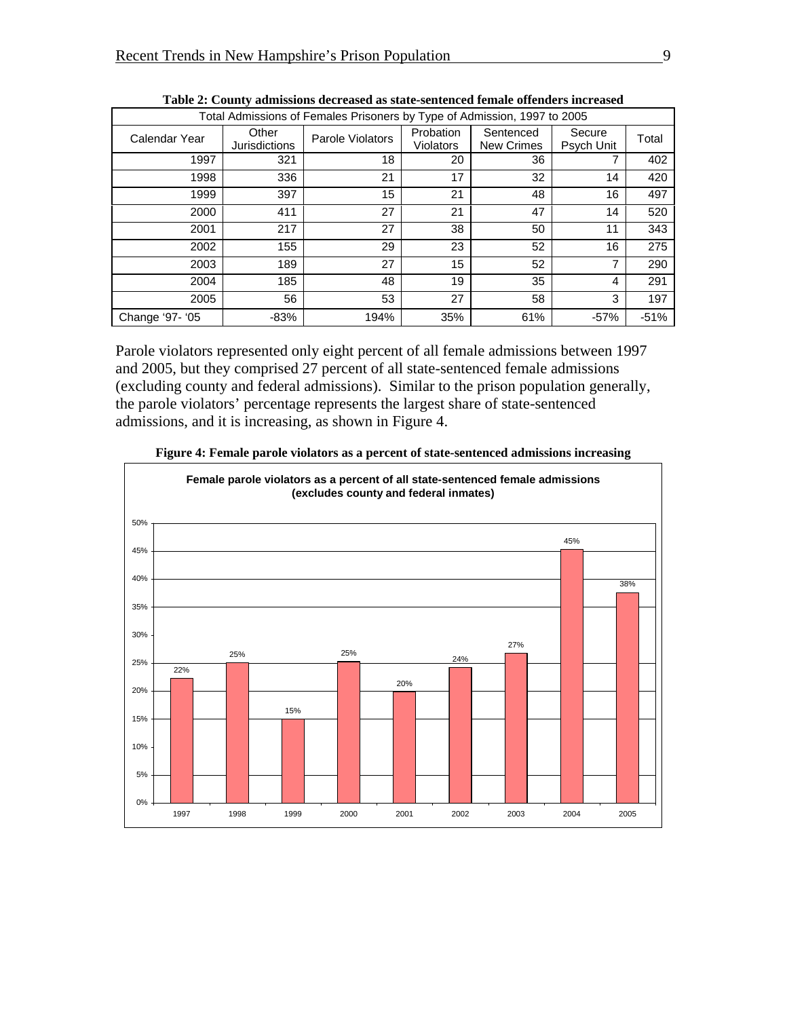| Total Admissions of Females Prisoners by Type of Admission, 1997 to 2005 |                               |                  |                        |                                |                      |        |  |  |  |
|--------------------------------------------------------------------------|-------------------------------|------------------|------------------------|--------------------------------|----------------------|--------|--|--|--|
| Calendar Year                                                            | Other<br><b>Jurisdictions</b> | Parole Violators | Probation<br>Violators | Sentenced<br><b>New Crimes</b> | Secure<br>Psych Unit | Total  |  |  |  |
| 1997                                                                     | 321                           | 18               | 20                     | 36                             |                      | 402    |  |  |  |
| 1998                                                                     | 336                           | 21               | 17                     | 32                             | 14                   | 420    |  |  |  |
| 1999                                                                     | 397                           | 15               | 21                     | 48                             | 16                   | 497    |  |  |  |
| 2000                                                                     | 411                           | 27               | 21                     | 47                             | 14                   | 520    |  |  |  |
| 2001                                                                     | 217                           | 27               | 38                     | 50                             | 11                   | 343    |  |  |  |
| 2002                                                                     | 155                           | 29               | 23                     | 52                             | 16                   | 275    |  |  |  |
| 2003                                                                     | 189                           | 27               | 15                     | 52                             | 7                    | 290    |  |  |  |
| 2004                                                                     | 185                           | 48               | 19                     | 35                             | 4                    | 291    |  |  |  |
| 2005                                                                     | 56                            | 53               | 27                     | 58                             | 3                    | 197    |  |  |  |
| Change '97- '05                                                          | $-83%$                        | 194%             | 35%                    | 61%                            | $-57%$               | $-51%$ |  |  |  |

**Table 2: County admissions decreased as state-sentenced female offenders increased** 

Parole violators represented only eight percent of all female admissions between 1997 and 2005, but they comprised 27 percent of all state-sentenced female admissions (excluding county and federal admissions). Similar to the prison population generally, the parole violators' percentage represents the largest share of state-sentenced admissions, and it is increasing, as shown in Figure 4.



**Figure 4: Female parole violators as a percent of state-sentenced admissions increasing**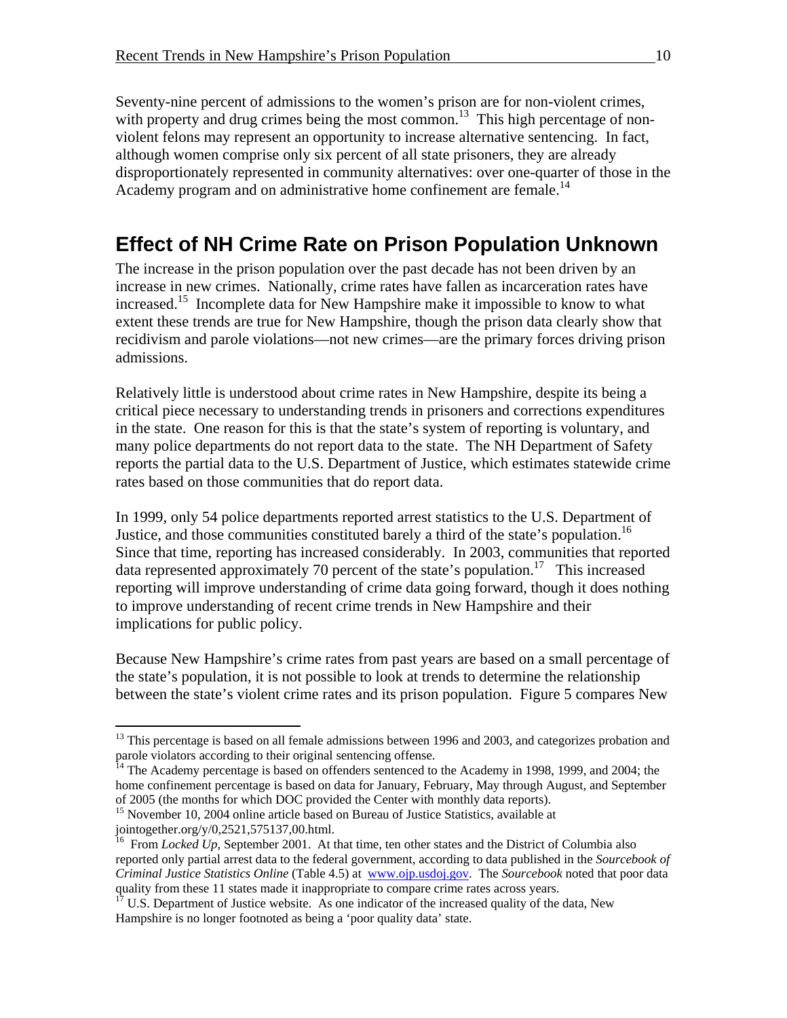Seventy-nine percent of admissions to the women's prison are for non-violent crimes, with property and drug crimes being the most common.<sup>13</sup> This high percentage of nonviolent felons may represent an opportunity to increase alternative sentencing. In fact, although women comprise only six percent of all state prisoners, they are already disproportionately represented in community alternatives: over one-quarter of those in the Academy program and on administrative home confinement are female.<sup>14</sup>

#### **Effect of NH Crime Rate on Prison Population Unknown**

The increase in the prison population over the past decade has not been driven by an increase in new crimes. Nationally, crime rates have fallen as incarceration rates have increased.<sup>15</sup> Incomplete data for New Hampshire make it impossible to know to what extent these trends are true for New Hampshire, though the prison data clearly show that recidivism and parole violations—not new crimes—are the primary forces driving prison admissions.

Relatively little is understood about crime rates in New Hampshire, despite its being a critical piece necessary to understanding trends in prisoners and corrections expenditures in the state. One reason for this is that the state's system of reporting is voluntary, and many police departments do not report data to the state. The NH Department of Safety reports the partial data to the U.S. Department of Justice, which estimates statewide crime rates based on those communities that do report data.

In 1999, only 54 police departments reported arrest statistics to the U.S. Department of Justice, and those communities constituted barely a third of the state's population.<sup>16</sup> Since that time, reporting has increased considerably. In 2003, communities that reported data represented approximately 70 percent of the state's population.17 This increased reporting will improve understanding of crime data going forward, though it does nothing to improve understanding of recent crime trends in New Hampshire and their implications for public policy.

Because New Hampshire's crime rates from past years are based on a small percentage of the state's population, it is not possible to look at trends to determine the relationship between the state's violent crime rates and its prison population. Figure 5 compares New

1

 $13$  This percentage is based on all female admissions between 1996 and 2003, and categorizes probation and parole violators according to their original sentencing offense.<br><sup>14</sup> The Academy percentage is based on offenders sentenced to the Academy in 1998, 1999, and 2004; the

home confinement percentage is based on data for January, February, May through August, and September of 2005 (the months for which DOC provided the Center with monthly data reports).

<sup>&</sup>lt;sup>15</sup> November 10, 2004 online article based on Bureau of Justice Statistics, available at jointogether.org/y/0,2521,575137,00.html.

<sup>&</sup>lt;sup>6</sup> From *Locked Up*, September 2001. At that time, ten other states and the District of Columbia also reported only partial arrest data to the federal government, according to data published in the *Sourcebook of Criminal Justice Statistics Online* (Table 4.5) at <u>www.ojp.usdoj.gov</u>. The *Sourcebook* noted that poor data quality from these 11 states made it inappropriate to compare crime rates across years.

quality from these 11 states made in the rate of the increased quality of the data, New <sup>17</sup> U.S. Department of Justice website. As one indicator of the increased quality of the data, New Hampshire is no longer footnoted as being a 'poor quality data' state.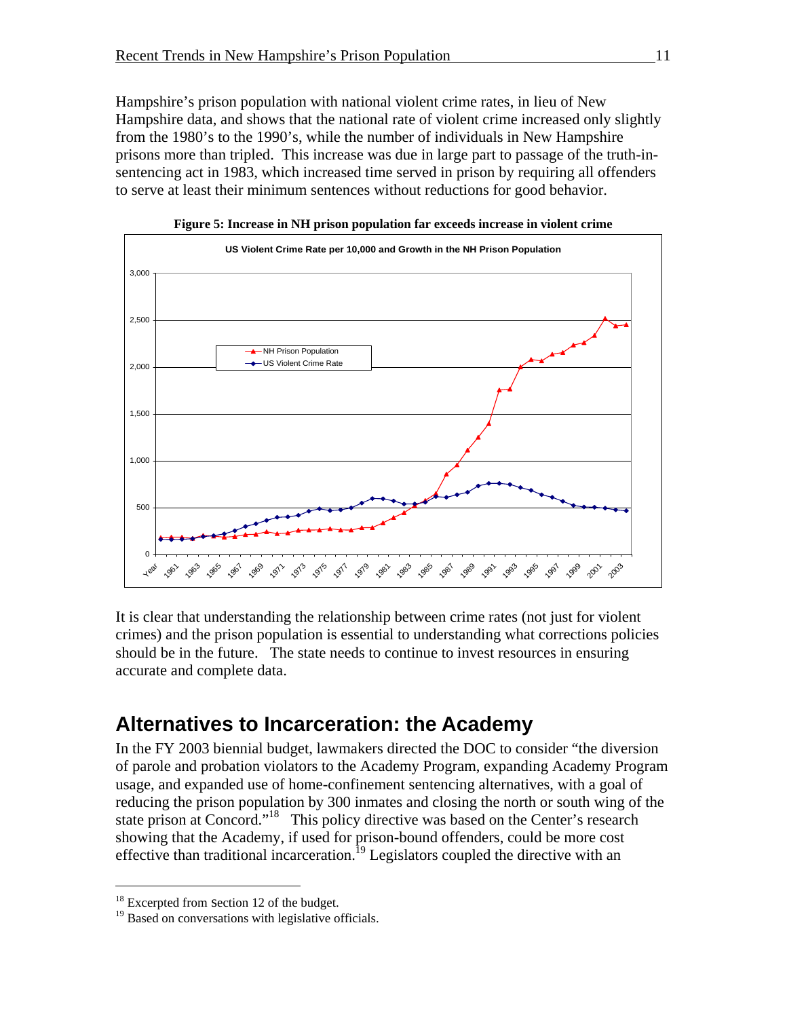Hampshire's prison population with national violent crime rates, in lieu of New Hampshire data, and shows that the national rate of violent crime increased only slightly from the 1980's to the 1990's, while the number of individuals in New Hampshire prisons more than tripled. This increase was due in large part to passage of the truth-insentencing act in 1983, which increased time served in prison by requiring all offenders to serve at least their minimum sentences without reductions for good behavior.



**Figure 5: Increase in NH prison population far exceeds increase in violent crime** 

It is clear that understanding the relationship between crime rates (not just for violent crimes) and the prison population is essential to understanding what corrections policies should be in the future. The state needs to continue to invest resources in ensuring accurate and complete data.

#### **Alternatives to Incarceration: the Academy**

In the FY 2003 biennial budget, lawmakers directed the DOC to consider "the diversion of parole and probation violators to the Academy Program, expanding Academy Program usage, and expanded use of home-confinement sentencing alternatives, with a goal of reducing the prison population by 300 inmates and closing the north or south wing of the state prison at Concord."18 This policy directive was based on the Center's research showing that the Academy, if used for prison-bound offenders, could be more cost effective than traditional incarceration.<sup>19</sup> Legislators coupled the directive with an

<sup>&</sup>lt;sup>18</sup> Excerpted from section 12 of the budget.

<sup>&</sup>lt;sup>19</sup> Based on conversations with legislative officials.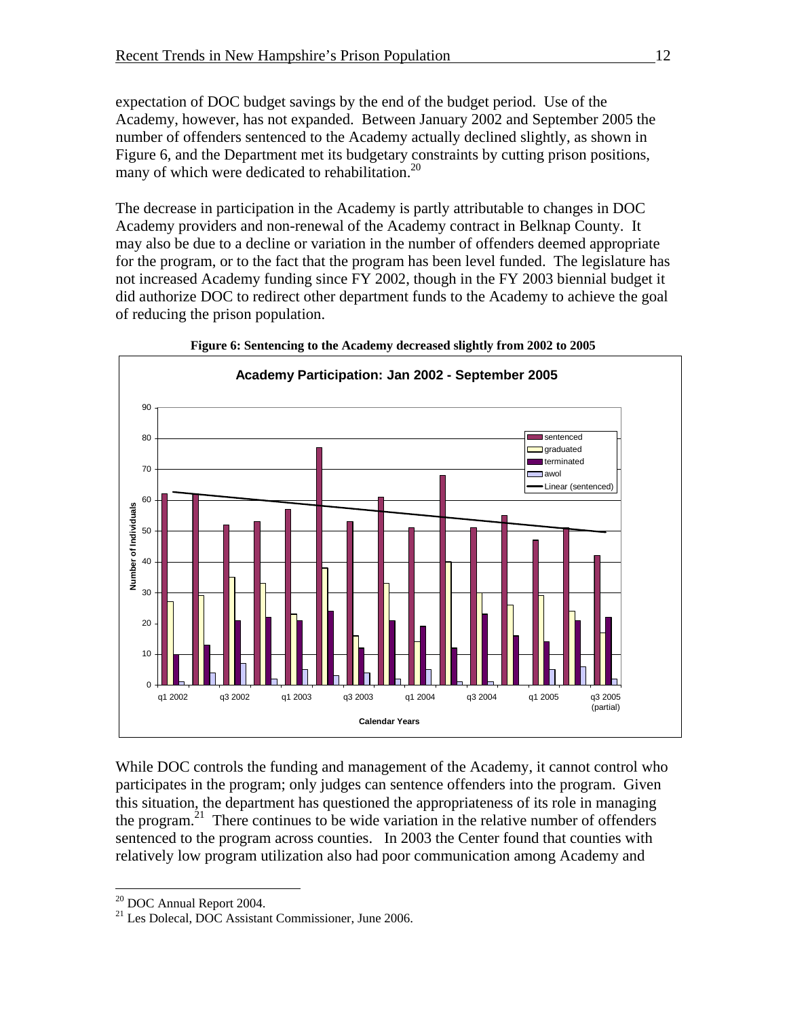expectation of DOC budget savings by the end of the budget period. Use of the Academy, however, has not expanded. Between January 2002 and September 2005 the number of offenders sentenced to the Academy actually declined slightly, as shown in Figure 6, and the Department met its budgetary constraints by cutting prison positions, many of which were dedicated to rehabilitation.<sup>20</sup>

The decrease in participation in the Academy is partly attributable to changes in DOC Academy providers and non-renewal of the Academy contract in Belknap County. It may also be due to a decline or variation in the number of offenders deemed appropriate for the program, or to the fact that the program has been level funded. The legislature has not increased Academy funding since FY 2002, though in the FY 2003 biennial budget it did authorize DOC to redirect other department funds to the Academy to achieve the goal of reducing the prison population.





While DOC controls the funding and management of the Academy, it cannot control who participates in the program; only judges can sentence offenders into the program. Given this situation, the department has questioned the appropriateness of its role in managing the program.<sup>21</sup> There continues to be wide variation in the relative number of offenders sentenced to the program across counties. In 2003 the Center found that counties with relatively low program utilization also had poor communication among Academy and

<sup>20</sup> DOC Annual Report 2004.

<sup>&</sup>lt;sup>21</sup> Les Dolecal, DOC Assistant Commissioner, June 2006.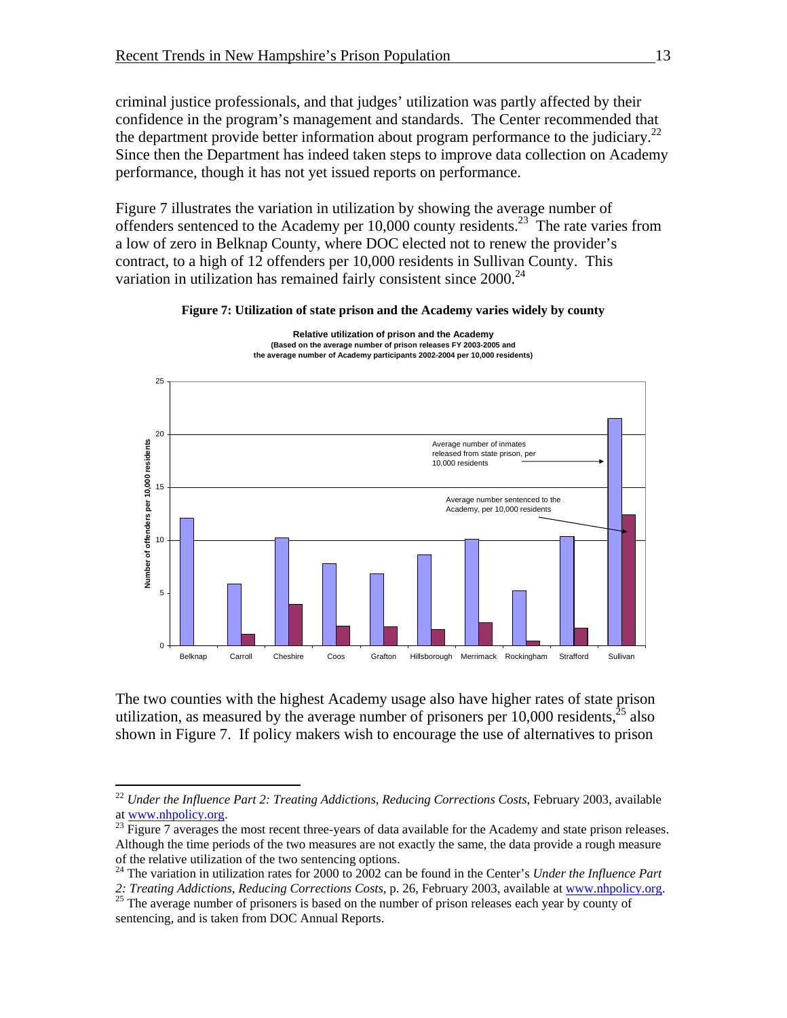criminal justice professionals, and that judges' utilization was partly affected by their confidence in the program's management and standards. The Center recommended that the department provide better information about program performance to the judiciary.<sup>22</sup> Since then the Department has indeed taken steps to improve data collection on Academy performance, though it has not yet issued reports on performance.

Figure 7 illustrates the variation in utilization by showing the average number of offenders sentenced to the Academy per  $10,000$  county residents.<sup>23</sup> The rate varies from a low of zero in Belknap County, where DOC elected not to renew the provider's contract, to a high of 12 offenders per 10,000 residents in Sullivan County. This variation in utilization has remained fairly consistent since  $2000$ <sup>24</sup>





The two counties with the highest Academy usage also have higher rates of state prison utilization, as measured by the average number of prisoners per  $10,000$  residents,<sup>25</sup> also shown in Figure 7. If policy makers wish to encourage the use of alternatives to prison

<sup>&</sup>lt;sup>22</sup> *Under the Influence Part 2: Treating Addictions, Reducing Corrections Costs, February 2003, available* at www.nhpolicy.org.<br><sup>23</sup> Figure 7 averages the most recent three-years of data available for the Academy and state prison releases.

Although the time periods of the two measures are not exactly the same, the data provide a rough measure of the relative utilization of the two sentencing options.

<sup>24</sup> The variation in utilization rates for 2000 to 2002 can be found in the Center's *Under the Influence Part* 

*<sup>2:</sup> Treating Addictions, Reducing Corrections Costs*, p. 26, February 2003, available at www.nhpolicy.org. 25 The average number of prisoners is based on the number of prison releases each year by county of sentencing, and is taken from DOC Annual Reports.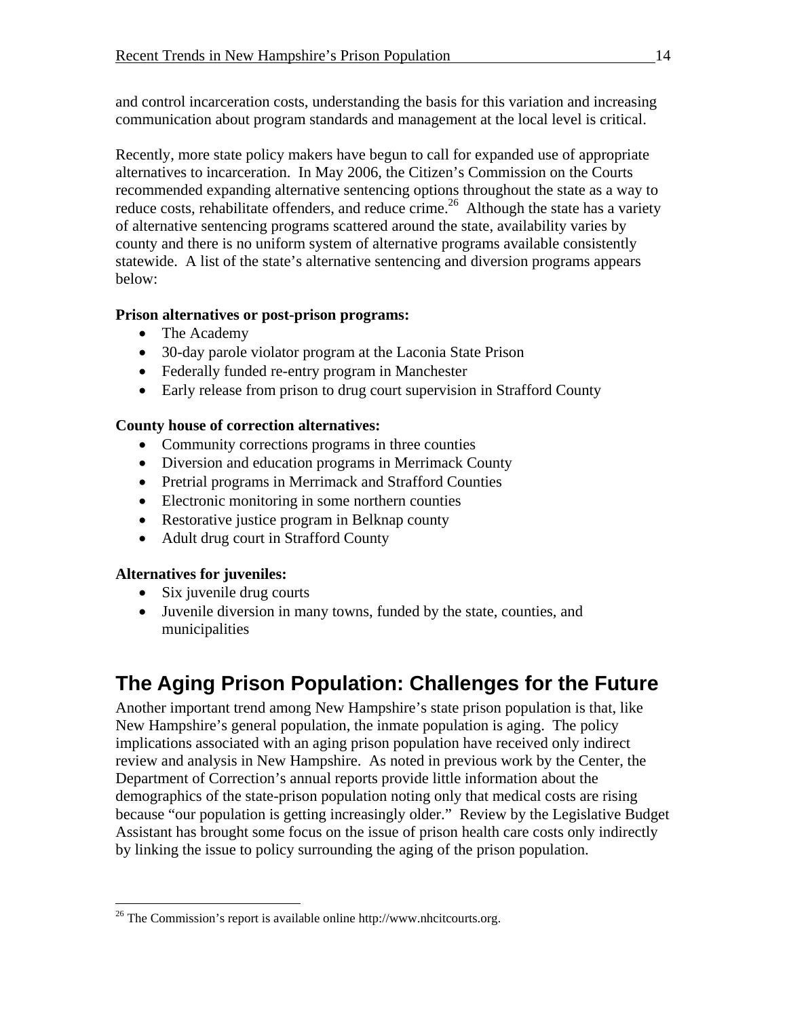and control incarceration costs, understanding the basis for this variation and increasing communication about program standards and management at the local level is critical.

Recently, more state policy makers have begun to call for expanded use of appropriate alternatives to incarceration. In May 2006, the Citizen's Commission on the Courts recommended expanding alternative sentencing options throughout the state as a way to reduce costs, rehabilitate offenders, and reduce crime.<sup>26</sup> Although the state has a variety of alternative sentencing programs scattered around the state, availability varies by county and there is no uniform system of alternative programs available consistently statewide. A list of the state's alternative sentencing and diversion programs appears below:

#### **Prison alternatives or post-prison programs:**

- The Academy
- 30-day parole violator program at the Laconia State Prison
- Federally funded re-entry program in Manchester
- Early release from prison to drug court supervision in Strafford County

#### **County house of correction alternatives:**

- Community corrections programs in three counties
- Diversion and education programs in Merrimack County
- Pretrial programs in Merrimack and Strafford Counties
- Electronic monitoring in some northern counties
- Restorative justice program in Belknap county
- Adult drug court in Strafford County

#### **Alternatives for juveniles:**

 $\overline{a}$ 

- Six juvenile drug courts
- Juvenile diversion in many towns, funded by the state, counties, and municipalities

# **The Aging Prison Population: Challenges for the Future**

Another important trend among New Hampshire's state prison population is that, like New Hampshire's general population, the inmate population is aging. The policy implications associated with an aging prison population have received only indirect review and analysis in New Hampshire. As noted in previous work by the Center, the Department of Correction's annual reports provide little information about the demographics of the state-prison population noting only that medical costs are rising because "our population is getting increasingly older." Review by the Legislative Budget Assistant has brought some focus on the issue of prison health care costs only indirectly by linking the issue to policy surrounding the aging of the prison population.

<sup>&</sup>lt;sup>26</sup> The Commission's report is available online http://www.nhcitcourts.org.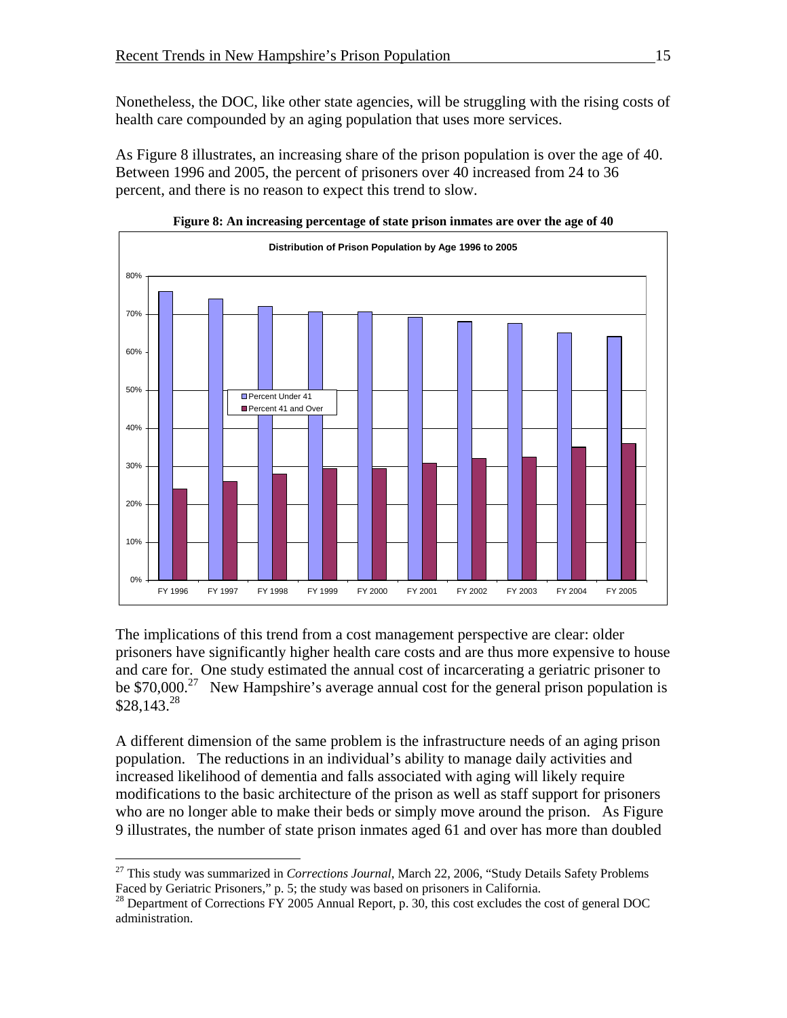Nonetheless, the DOC, like other state agencies, will be struggling with the rising costs of health care compounded by an aging population that uses more services.

As Figure 8 illustrates, an increasing share of the prison population is over the age of 40. Between 1996 and 2005, the percent of prisoners over 40 increased from 24 to 36 percent, and there is no reason to expect this trend to slow.





The implications of this trend from a cost management perspective are clear: older prisoners have significantly higher health care costs and are thus more expensive to house and care for. One study estimated the annual cost of incarcerating a geriatric prisoner to be  $$70,000.<sup>27</sup>$  New Hampshire's average annual cost for the general prison population is  $$28,143.<sup>28</sup>$ 

A different dimension of the same problem is the infrastructure needs of an aging prison population. The reductions in an individual's ability to manage daily activities and increased likelihood of dementia and falls associated with aging will likely require modifications to the basic architecture of the prison as well as staff support for prisoners who are no longer able to make their beds or simply move around the prison. As Figure 9 illustrates, the number of state prison inmates aged 61 and over has more than doubled

<u>.</u>

<sup>&</sup>lt;sup>27</sup> This study was summarized in *Corrections Journal*, March 22, 2006, "Study Details Safety Problems Faced by Geriatric Prisoners," p. 5; the study was based on prisoners in California.

 $^{28}$  Department of Corrections FY 2005 Annual Report, p. 30, this cost excludes the cost of general DOC administration.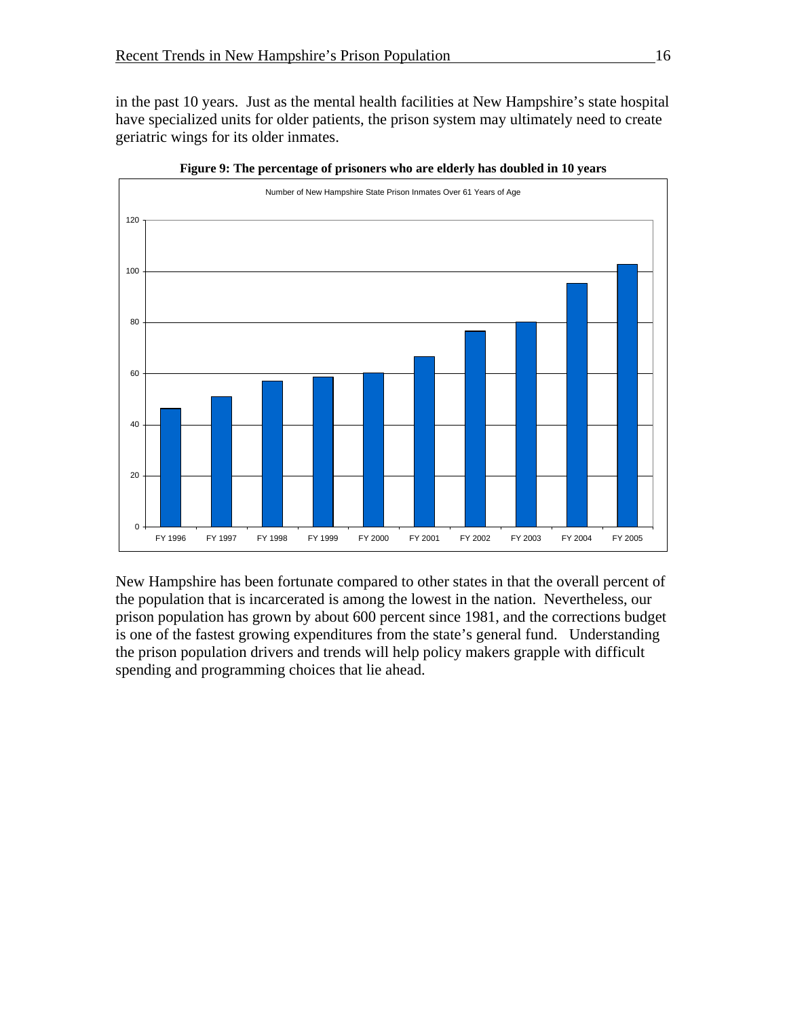in the past 10 years. Just as the mental health facilities at New Hampshire's state hospital have specialized units for older patients, the prison system may ultimately need to create geriatric wings for its older inmates.



**Figure 9: The percentage of prisoners who are elderly has doubled in 10 years** 

New Hampshire has been fortunate compared to other states in that the overall percent of the population that is incarcerated is among the lowest in the nation. Nevertheless, our prison population has grown by about 600 percent since 1981, and the corrections budget is one of the fastest growing expenditures from the state's general fund. Understanding the prison population drivers and trends will help policy makers grapple with difficult spending and programming choices that lie ahead.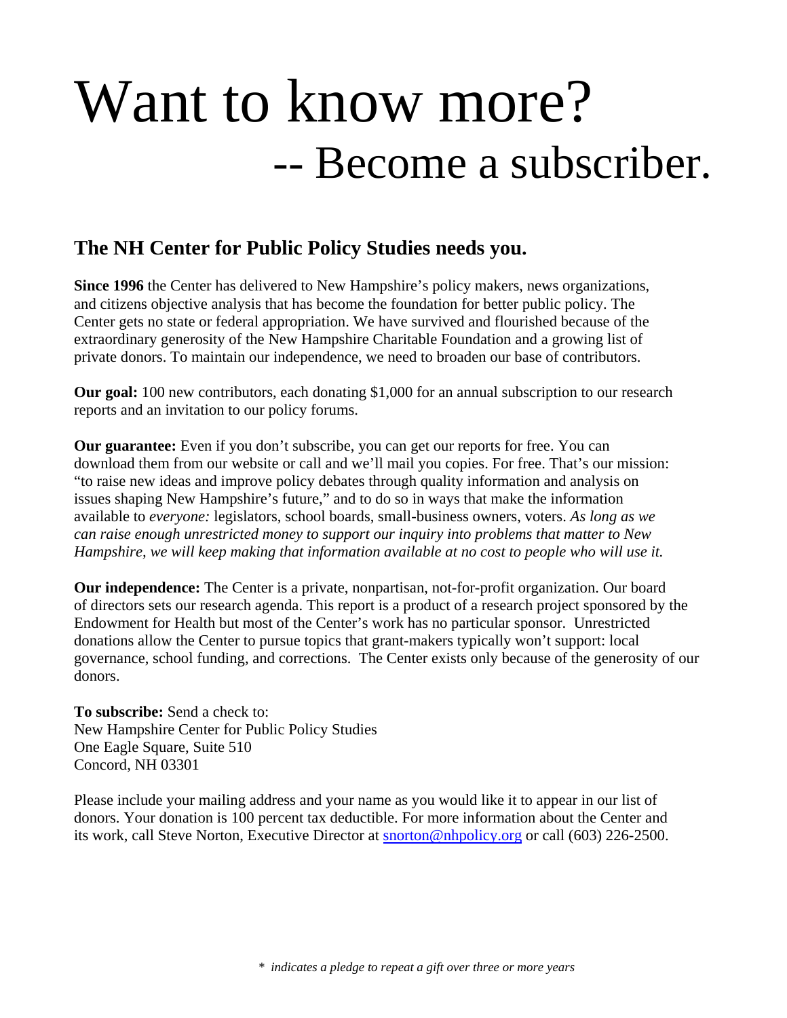# Want to know more? -- Become a subscriber.

#### **The NH Center for Public Policy Studies needs you.**

**Since 1996** the Center has delivered to New Hampshire's policy makers, news organizations, and citizens objective analysis that has become the foundation for better public policy. The Center gets no state or federal appropriation. We have survived and flourished because of the extraordinary generosity of the New Hampshire Charitable Foundation and a growing list of private donors. To maintain our independence, we need to broaden our base of contributors.

**Our goal:** 100 new contributors, each donating \$1,000 for an annual subscription to our research reports and an invitation to our policy forums.

**Our guarantee:** Even if you don't subscribe, you can get our reports for free. You can download them from our website or call and we'll mail you copies. For free. That's our mission: "to raise new ideas and improve policy debates through quality information and analysis on issues shaping New Hampshire's future," and to do so in ways that make the information available to *everyone:* legislators, school boards, small-business owners, voters. *As long as we can raise enough unrestricted money to support our inquiry into problems that matter to New Hampshire, we will keep making that information available at no cost to people who will use it.* 

**Our independence:** The Center is a private, nonpartisan, not-for-profit organization. Our board of directors sets our research agenda. This report is a product of a research project sponsored by the Endowment for Health but most of the Center's work has no particular sponsor. Unrestricted donations allow the Center to pursue topics that grant-makers typically won't support: local governance, school funding, and corrections. The Center exists only because of the generosity of our donors.

**To subscribe:** Send a check to: New Hampshire Center for Public Policy Studies One Eagle Square, Suite 510 Concord, NH 03301

Please include your mailing address and your name as you would like it to appear in our list of donors. Your donation is 100 percent tax deductible. For more information about the Center and its work, call Steve Norton, Executive Director at snorton@nhpolicy.org or call (603) 226-2500.